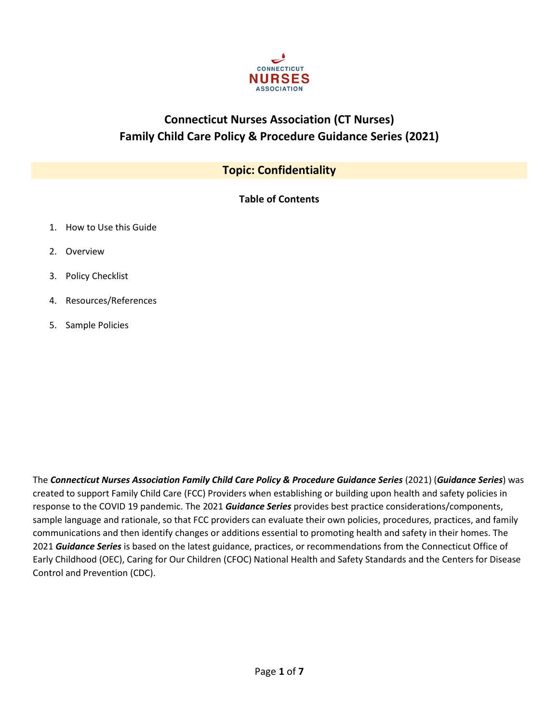

# **Connecticut Nurses Association (CT Nurses) Family Child Care Policy & Procedure Guidance Series (2021)**

## **Topic: Confidentiality**

**Table of Contents**

- 1. How to Use this Guide
- 2. Overview
- 3. Policy Checklist
- 4. Resources/References
- 5. Sample Policies

The *Connecticut Nurses Association Family Child Care Policy & Procedure Guidance Series* (2021) (*Guidance Series*) was created to support Family Child Care (FCC) Providers when establishing or building upon health and safety policies in response to the COVID 19 pandemic. The 2021 *Guidance Series* provides best practice considerations/components, sample language and rationale, so that FCC providers can evaluate their own policies, procedures, practices, and family communications and then identify changes or additions essential to promoting health and safety in their homes. The 2021 *Guidance Series* is based on the latest guidance, practices, or recommendations from the Connecticut Office of Early Childhood (OEC), Caring for Our Children (CFOC) National Health and Safety Standards and the Centers for Disease Control and Prevention (CDC).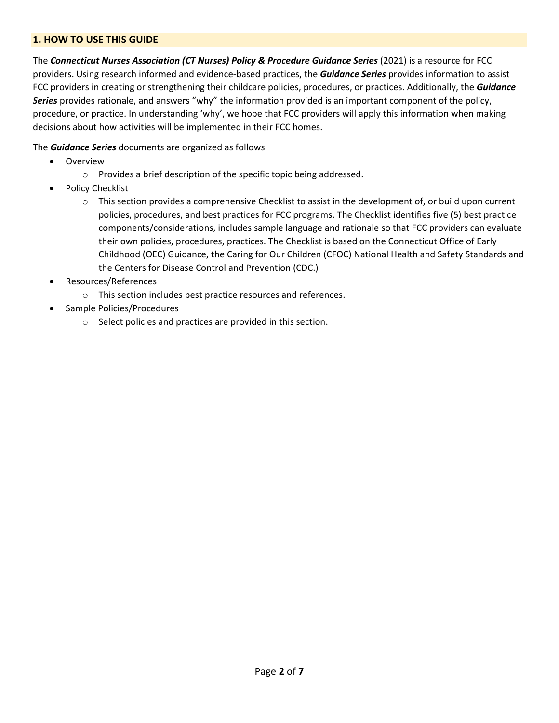## **1. HOW TO USE THIS GUIDE**

The *Connecticut Nurses Association (CT Nurses) Policy & Procedure Guidance Series* (2021) is a resource for FCC providers. Using research informed and evidence-based practices, the *Guidance Series* provides information to assist FCC providers in creating or strengthening their childcare policies, procedures, or practices. Additionally, the *Guidance Series* provides rationale, and answers "why" the information provided is an important component of the policy, procedure, or practice. In understanding 'why', we hope that FCC providers will apply this information when making decisions about how activities will be implemented in their FCC homes.

The *Guidance Series* documents are organized as follows

- Overview
	- o Provides a brief description of the specific topic being addressed.
- Policy Checklist
	- $\circ$  This section provides a comprehensive Checklist to assist in the development of, or build upon current policies, procedures, and best practices for FCC programs. The Checklist identifies five (5) best practice components/considerations, includes sample language and rationale so that FCC providers can evaluate their own policies, procedures, practices. The Checklist is based on the Connecticut Office of Early Childhood (OEC) Guidance, the Caring for Our Children (CFOC) National Health and Safety Standards and the Centers for Disease Control and Prevention (CDC.)
- Resources/References
	- o This section includes best practice resources and references.
- Sample Policies/Procedures
	- o Select policies and practices are provided in this section.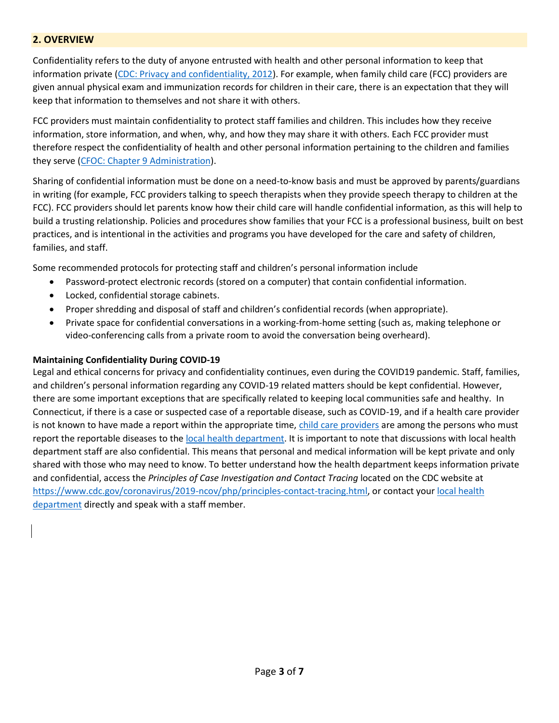## **2. OVERVIEW**

Confidentiality refers to the duty of anyone entrusted with health and other personal information to keep that information private [\(CDC: Privacy and confidentiality, 2012\)](https://www.cdc.gov/aging/emergency/legal/privacy.htm#:~:text=HIPAA%2C%20Privacy%20%26%20Confidentiality,-Related%20Pages&text=Privacy%20refers%20to%20the%20right,to%20keep%20that%20information%20private.). For example, when family child care (FCC) providers are given annual physical exam and immunization records for children in their care, there is an expectation that they will keep that information to themselves and not share it with others.

FCC providers must maintain confidentiality to protect staff families and children. This includes how they receive information, store information, and when, why, and how they may share it with others. Each FCC provider must therefore respect the confidentiality of health and other personal information pertaining to the children and families they serve [\(CFOC: Chapter 9 Administration\)](https://nrckids.org/cfoc/database/9.4.1.3).

Sharing of confidential information must be done on a need-to-know basis and must be approved by parents/guardians in writing (for example, FCC providers talking to speech therapists when they provide speech therapy to children at the FCC). FCC providers should let parents know how their child care will handle confidential information, as this will help to build a trusting relationship. Policies and procedures show families that your FCC is a professional business, built on best practices, and is intentional in the activities and programs you have developed for the care and safety of children, families, and staff.

Some recommended protocols for protecting staff and children's personal information include

- Password-protect electronic records (stored on a computer) that contain confidential information.
- Locked, confidential storage cabinets.
- Proper shredding and disposal of staff and children's confidential records (when appropriate).
- Private space for confidential conversations in a working-from-home setting (such as, making telephone or video-conferencing calls from a private room to avoid the conversation being overheard).

#### **Maintaining Confidentiality During COVID-19**

Legal and ethical concerns for privacy and confidentiality continues, even during the COVID19 pandemic. Staff, families, and children's personal information regarding any COVID-19 related matters should be kept confidential. However, there are some important exceptions that are specifically related to keeping local communities safe and healthy. In Connecticut, if there is a case or suspected case of a reportable disease, such as COVID-19, and if a health care provider is not known to have made a report within the appropriate time, [child care providers](https://portal.ct.gov/DPH/Epidemiology-and-Emerging-Infections/Persons-Required-to-Report-Reportable-Diseases) are among the persons who must report the reportable diseases to th[e local health department.](https://portal.ct.gov/dph/Local-Health-Admin/LHA/Local-Health-Administration---Site-Map) It is important to note that discussions with local health department staff are also confidential. This means that personal and medical information will be kept private and only shared with those who may need to know. To better understand how the health department keeps information private and confidential, access the *Principles of Case Investigation and Contact Tracing* located on the CDC website at [https://www.cdc.gov/coronavirus/2019-ncov/php/principles-contact-tracing.html,](https://www.cdc.gov/coronavirus/2019-ncov/php/principles-contact-tracing.html) or contact you[r local health](https://portal.ct.gov/dph/Local-Health-Admin/LHA/Local-Health-Administration---Site-Map)  [department](https://portal.ct.gov/dph/Local-Health-Admin/LHA/Local-Health-Administration---Site-Map) directly and speak with a staff member.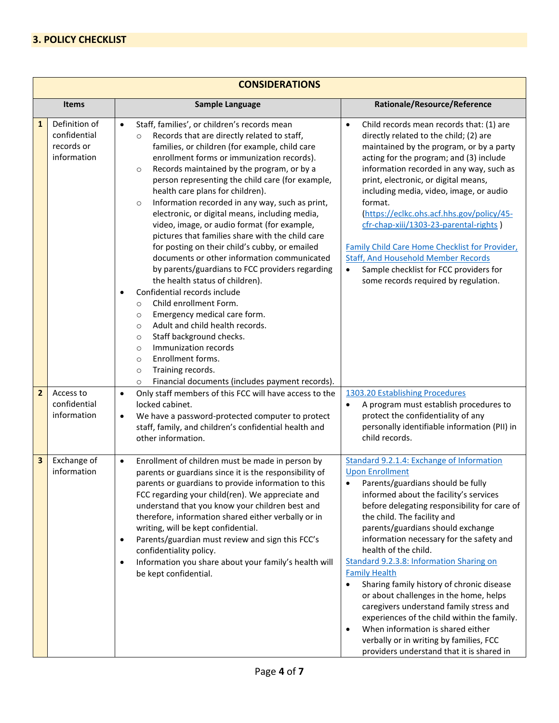## **3. POLICY CHECKLIST**

| <b>CONSIDERATIONS</b> |                                                            |                                                                                                                                                                                                                                                                                                                                                                                                                                                                                                                                                                                                                                                                                                                                                                                                                                                                                                                                                                                                                                                                                                                                                                   |                                                                                                                                                                                                                                                                                                                                                                                                                                                                                                                                                                                                                                                                                                                                                        |  |  |
|-----------------------|------------------------------------------------------------|-------------------------------------------------------------------------------------------------------------------------------------------------------------------------------------------------------------------------------------------------------------------------------------------------------------------------------------------------------------------------------------------------------------------------------------------------------------------------------------------------------------------------------------------------------------------------------------------------------------------------------------------------------------------------------------------------------------------------------------------------------------------------------------------------------------------------------------------------------------------------------------------------------------------------------------------------------------------------------------------------------------------------------------------------------------------------------------------------------------------------------------------------------------------|--------------------------------------------------------------------------------------------------------------------------------------------------------------------------------------------------------------------------------------------------------------------------------------------------------------------------------------------------------------------------------------------------------------------------------------------------------------------------------------------------------------------------------------------------------------------------------------------------------------------------------------------------------------------------------------------------------------------------------------------------------|--|--|
| <b>Items</b>          |                                                            | <b>Sample Language</b>                                                                                                                                                                                                                                                                                                                                                                                                                                                                                                                                                                                                                                                                                                                                                                                                                                                                                                                                                                                                                                                                                                                                            | Rationale/Resource/Reference                                                                                                                                                                                                                                                                                                                                                                                                                                                                                                                                                                                                                                                                                                                           |  |  |
| $\mathbf{1}$          | Definition of<br>confidential<br>records or<br>information | Staff, families', or children's records mean<br>$\bullet$<br>Records that are directly related to staff,<br>$\circ$<br>families, or children (for example, child care<br>enrollment forms or immunization records).<br>Records maintained by the program, or by a<br>$\circ$<br>person representing the child care (for example,<br>health care plans for children).<br>Information recorded in any way, such as print,<br>$\circ$<br>electronic, or digital means, including media,<br>video, image, or audio format (for example,<br>pictures that families share with the child care<br>for posting on their child's cubby, or emailed<br>documents or other information communicated<br>by parents/guardians to FCC providers regarding<br>the health status of children).<br>Confidential records include<br>$\bullet$<br>Child enrollment Form.<br>$\circ$<br>Emergency medical care form.<br>$\circ$<br>Adult and child health records.<br>$\circ$<br>Staff background checks.<br>$\circ$<br>Immunization records<br>$\circ$<br>Enrollment forms.<br>$\circ$<br>Training records.<br>$\circ$<br>Financial documents (includes payment records).<br>$\circ$ | Child records mean records that: (1) are<br>$\bullet$<br>directly related to the child; (2) are<br>maintained by the program, or by a party<br>acting for the program; and (3) include<br>information recorded in any way, such as<br>print, electronic, or digital means,<br>including media, video, image, or audio<br>format.<br>(https://eclkc.ohs.acf.hhs.gov/policy/45-<br>cfr-chap-xiii/1303-23-parental-rights)<br>Family Child Care Home Checklist for Provider,<br><b>Staff, And Household Member Records</b><br>Sample checklist for FCC providers for<br>$\bullet$<br>some records required by regulation.                                                                                                                                 |  |  |
| $\overline{2}$        | Access to<br>confidential<br>information                   | Only staff members of this FCC will have access to the<br>$\bullet$<br>locked cabinet.<br>We have a password-protected computer to protect<br>$\bullet$<br>staff, family, and children's confidential health and<br>other information.                                                                                                                                                                                                                                                                                                                                                                                                                                                                                                                                                                                                                                                                                                                                                                                                                                                                                                                            | 1303.20 Establishing Procedures<br>A program must establish procedures to<br>$\bullet$<br>protect the confidentiality of any<br>personally identifiable information (PII) in<br>child records.                                                                                                                                                                                                                                                                                                                                                                                                                                                                                                                                                         |  |  |
| 3                     | Exchange of<br>information                                 | Enrollment of children must be made in person by<br>$\bullet$<br>parents or guardians since it is the responsibility of<br>parents or guardians to provide information to this<br>FCC regarding your child(ren). We appreciate and<br>understand that you know your children best and<br>therefore, information shared either verbally or in<br>writing, will be kept confidential.<br>Parents/guardian must review and sign this FCC's<br>$\bullet$<br>confidentiality policy.<br>Information you share about your family's health will<br>$\bullet$<br>be kept confidential.                                                                                                                                                                                                                                                                                                                                                                                                                                                                                                                                                                                    | Standard 9.2.1.4: Exchange of Information<br><b>Upon Enrollment</b><br>Parents/guardians should be fully<br>informed about the facility's services<br>before delegating responsibility for care of<br>the child. The facility and<br>parents/guardians should exchange<br>information necessary for the safety and<br>health of the child.<br>Standard 9.2.3.8: Information Sharing on<br><b>Family Health</b><br>Sharing family history of chronic disease<br>$\bullet$<br>or about challenges in the home, helps<br>caregivers understand family stress and<br>experiences of the child within the family.<br>When information is shared either<br>$\bullet$<br>verbally or in writing by families, FCC<br>providers understand that it is shared in |  |  |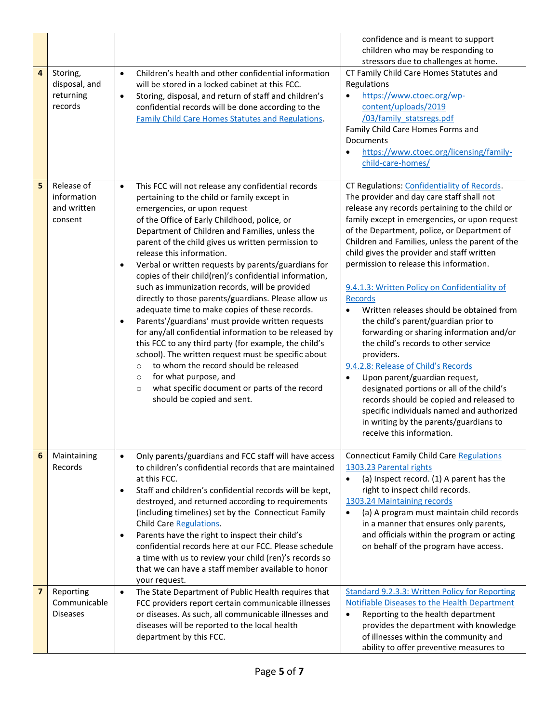|   |                                                     |                                                                                                                                                                                                                                                                                                                                                                                                                                                                                                                                                                                                                                                                                                                                                                                                                                                                                                                                                                                                                                                              | confidence and is meant to support<br>children who may be responding to                                                                                                                                                                                                                                                                                                                                                                                                                                                                                                                                                                                                                                                                                                                                                                                                                                                                                        |
|---|-----------------------------------------------------|--------------------------------------------------------------------------------------------------------------------------------------------------------------------------------------------------------------------------------------------------------------------------------------------------------------------------------------------------------------------------------------------------------------------------------------------------------------------------------------------------------------------------------------------------------------------------------------------------------------------------------------------------------------------------------------------------------------------------------------------------------------------------------------------------------------------------------------------------------------------------------------------------------------------------------------------------------------------------------------------------------------------------------------------------------------|----------------------------------------------------------------------------------------------------------------------------------------------------------------------------------------------------------------------------------------------------------------------------------------------------------------------------------------------------------------------------------------------------------------------------------------------------------------------------------------------------------------------------------------------------------------------------------------------------------------------------------------------------------------------------------------------------------------------------------------------------------------------------------------------------------------------------------------------------------------------------------------------------------------------------------------------------------------|
| 4 | Storing,<br>disposal, and<br>returning<br>records   | Children's health and other confidential information<br>$\bullet$<br>will be stored in a locked cabinet at this FCC.<br>Storing, disposal, and return of staff and children's<br>$\bullet$<br>confidential records will be done according to the<br>Family Child Care Homes Statutes and Regulations.                                                                                                                                                                                                                                                                                                                                                                                                                                                                                                                                                                                                                                                                                                                                                        | stressors due to challenges at home.<br>CT Family Child Care Homes Statutes and<br>Regulations<br>https://www.ctoec.org/wp-<br>$\bullet$<br>content/uploads/2019<br>/03/family statsregs.pdf<br>Family Child Care Homes Forms and<br>Documents<br>https://www.ctoec.org/licensing/family-<br>$\bullet$<br>child-care-homes/                                                                                                                                                                                                                                                                                                                                                                                                                                                                                                                                                                                                                                    |
| 5 | Release of<br>information<br>and written<br>consent | This FCC will not release any confidential records<br>$\bullet$<br>pertaining to the child or family except in<br>emergencies, or upon request<br>of the Office of Early Childhood, police, or<br>Department of Children and Families, unless the<br>parent of the child gives us written permission to<br>release this information.<br>Verbal or written requests by parents/guardians for<br>$\bullet$<br>copies of their child(ren)'s confidential information,<br>such as immunization records, will be provided<br>directly to those parents/guardians. Please allow us<br>adequate time to make copies of these records.<br>Parents'/guardians' must provide written requests<br>$\bullet$<br>for any/all confidential information to be released by<br>this FCC to any third party (for example, the child's<br>school). The written request must be specific about<br>to whom the record should be released<br>$\circ$<br>for what purpose, and<br>$\circ$<br>what specific document or parts of the record<br>$\circ$<br>should be copied and sent. | CT Regulations: Confidentiality of Records.<br>The provider and day care staff shall not<br>release any records pertaining to the child or<br>family except in emergencies, or upon request<br>of the Department, police, or Department of<br>Children and Families, unless the parent of the<br>child gives the provider and staff written<br>permission to release this information.<br>9.4.1.3: Written Policy on Confidentiality of<br><b>Records</b><br>Written releases should be obtained from<br>$\bullet$<br>the child's parent/guardian prior to<br>forwarding or sharing information and/or<br>the child's records to other service<br>providers.<br>9.4.2.8: Release of Child's Records<br>Upon parent/guardian request,<br>$\bullet$<br>designated portions or all of the child's<br>records should be copied and released to<br>specific individuals named and authorized<br>in writing by the parents/guardians to<br>receive this information. |
| 6 | Maintaining<br>Records                              | Only parents/guardians and FCC staff will have access<br>$\bullet$<br>to children's confidential records that are maintained<br>at this FCC.<br>Staff and children's confidential records will be kept,<br>$\bullet$<br>destroyed, and returned according to requirements<br>(including timelines) set by the Connecticut Family<br>Child Care Regulations.<br>Parents have the right to inspect their child's<br>$\bullet$<br>confidential records here at our FCC. Please schedule<br>a time with us to review your child (ren)'s records so<br>that we can have a staff member available to honor<br>your request.                                                                                                                                                                                                                                                                                                                                                                                                                                        | <b>Connecticut Family Child Care Regulations</b><br>1303.23 Parental rights<br>(a) Inspect record. (1) A parent has the<br>$\bullet$<br>right to inspect child records.<br>1303.24 Maintaining records<br>(a) A program must maintain child records<br>$\bullet$<br>in a manner that ensures only parents,<br>and officials within the program or acting<br>on behalf of the program have access.                                                                                                                                                                                                                                                                                                                                                                                                                                                                                                                                                              |
| 7 | Reporting<br>Communicable<br><b>Diseases</b>        | The State Department of Public Health requires that<br>$\bullet$<br>FCC providers report certain communicable illnesses<br>or diseases. As such, all communicable illnesses and<br>diseases will be reported to the local health<br>department by this FCC.                                                                                                                                                                                                                                                                                                                                                                                                                                                                                                                                                                                                                                                                                                                                                                                                  | <b>Standard 9.2.3.3: Written Policy for Reporting</b><br>Notifiable Diseases to the Health Department<br>Reporting to the health department<br>provides the department with knowledge<br>of illnesses within the community and<br>ability to offer preventive measures to                                                                                                                                                                                                                                                                                                                                                                                                                                                                                                                                                                                                                                                                                      |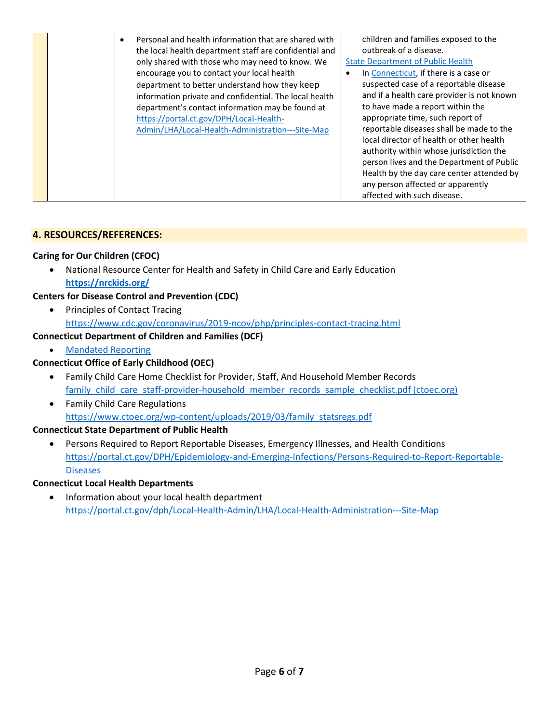|  | Personal and health information that are shared with<br>$\bullet$ | children and families exposed to the       |
|--|-------------------------------------------------------------------|--------------------------------------------|
|  | the local health department staff are confidential and            | outbreak of a disease.                     |
|  | only shared with those who may need to know. We                   | <b>State Department of Public Health</b>   |
|  | encourage you to contact your local health                        | In Connecticut, if there is a case or      |
|  | department to better understand how they keep                     | suspected case of a reportable disease     |
|  | information private and confidential. The local health            | and if a health care provider is not known |
|  | department's contact information may be found at                  | to have made a report within the           |
|  | https://portal.ct.gov/DPH/Local-Health-                           | appropriate time, such report of           |
|  | Admin/LHA/Local-Health-Administration---Site-Map                  | reportable diseases shall be made to the   |
|  |                                                                   | local director of health or other health   |
|  |                                                                   | authority within whose jurisdiction the    |
|  |                                                                   | person lives and the Department of Public  |
|  |                                                                   | Health by the day care center attended by  |
|  |                                                                   | any person affected or apparently          |
|  |                                                                   | affected with such disease.                |

## **4. RESOURCES/REFERENCES:**

### **Caring for Our Children (CFOC)**

• National Resource Center for Health and Safety in Child Care and Early Education **<https://nrckids.org/>**

## **Centers for Disease Control and Prevention (CDC)**

• Principles of Contact Tracing <https://www.cdc.gov/coronavirus/2019-ncov/php/principles-contact-tracing.html>

## **Connecticut Department of Children and Families (DCF)**

• [Mandated Reporting](https://portal.ct.gov/DCF/Mandated-Reporter-Training/Home)

## **Connecticut Office of Early Childhood (OEC)**

- Family Child Care Home Checklist for Provider, Staff, And Household Member Records [family\\_child\\_care\\_staff-provider-household\\_member\\_records\\_sample\\_checklist.pdf \(ctoec.org\)](https://www.ctoec.org/wp-content/uploads/2019/02/family_child_care_staff-provider-household_member_records_sample_checklist.pdf)
- Family Child Care Regulations [https://www.ctoec.org/wp-content/uploads/2019/03/family\\_statsregs.pdf](https://www.ctoec.org/wp-content/uploads/2019/03/family_statsregs.pdf)

## **Connecticut State Department of Public Health**

• Persons Required to Report Reportable Diseases, Emergency Illnesses, and Health Conditions [https://portal.ct.gov/DPH/Epidemiology-and-Emerging-Infections/Persons-Required-to-Report-Reportable-](https://portal.ct.gov/DPH/Epidemiology-and-Emerging-Infections/Persons-Required-to-Report-Reportable-Diseases)**[Diseases](https://portal.ct.gov/DPH/Epidemiology-and-Emerging-Infections/Persons-Required-to-Report-Reportable-Diseases)** 

#### **Connecticut Local Health Departments**

• Information about your local health department <https://portal.ct.gov/dph/Local-Health-Admin/LHA/Local-Health-Administration---Site-Map>